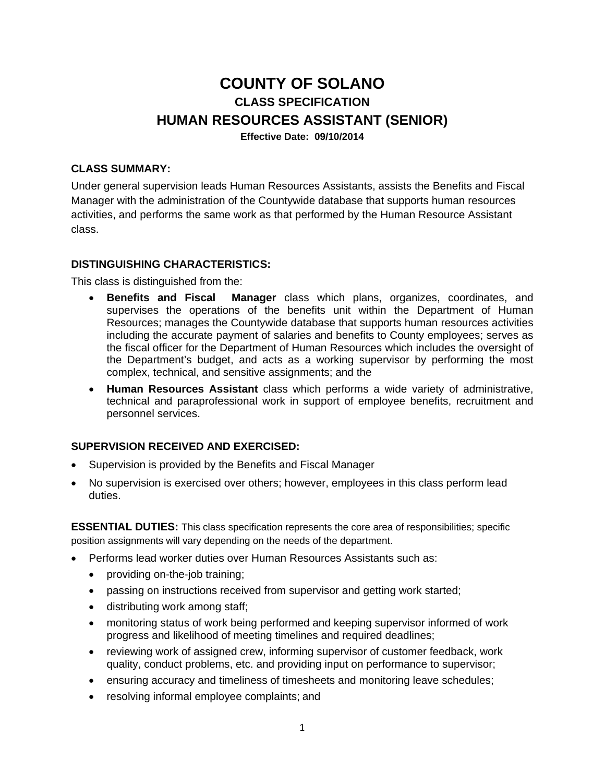# **COUNTY OF SOLANO CLASS SPECIFICATION HUMAN RESOURCES ASSISTANT (SENIOR) Effective Date: 09/10/2014**

#### **CLASS SUMMARY:**

Under general supervision leads Human Resources Assistants, assists the Benefits and Fiscal Manager with the administration of the Countywide database that supports human resources activities, and performs the same work as that performed by the Human Resource Assistant class.

#### **DISTINGUISHING CHARACTERISTICS:**

This class is distinguished from the:

- **Benefits and Fiscal Manager** class which plans, organizes, coordinates, and supervises the operations of the benefits unit within the Department of Human Resources; manages the Countywide database that supports human resources activities including the accurate payment of salaries and benefits to County employees; serves as the fiscal officer for the Department of Human Resources which includes the oversight of the Department's budget, and acts as a working supervisor by performing the most complex, technical, and sensitive assignments; and the
- **Human Resources Assistant** class which performs a wide variety of administrative, technical and paraprofessional work in support of employee benefits, recruitment and personnel services.

## **SUPERVISION RECEIVED AND EXERCISED:**

- Supervision is provided by the Benefits and Fiscal Manager
- No supervision is exercised over others; however, employees in this class perform lead duties.

**ESSENTIAL DUTIES:** This class specification represents the core area of responsibilities; specific position assignments will vary depending on the needs of the department.

- Performs lead worker duties over Human Resources Assistants such as:
	- providing on-the-job training;
	- passing on instructions received from supervisor and getting work started;
	- distributing work among staff;
	- monitoring status of work being performed and keeping supervisor informed of work progress and likelihood of meeting timelines and required deadlines;
	- reviewing work of assigned crew, informing supervisor of customer feedback, work quality, conduct problems, etc. and providing input on performance to supervisor;
	- ensuring accuracy and timeliness of timesheets and monitoring leave schedules;
	- resolving informal employee complaints; and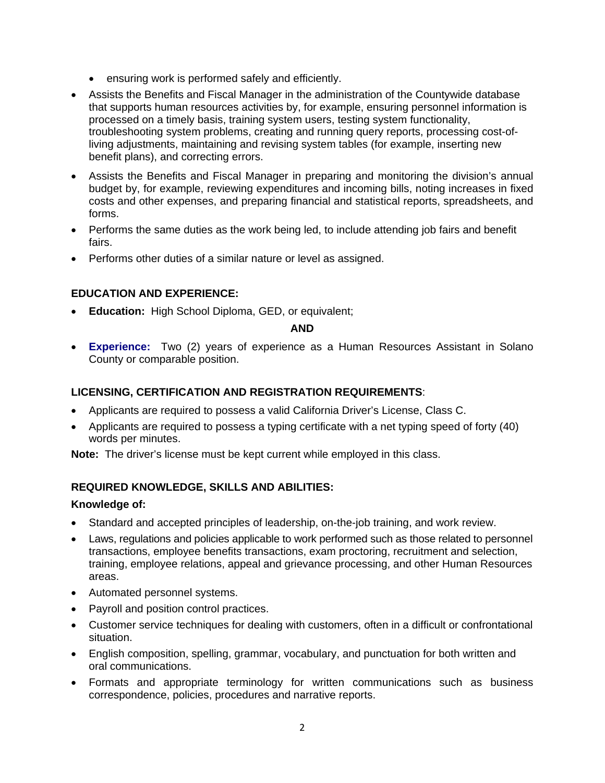- ensuring work is performed safely and efficiently.
- Assists the Benefits and Fiscal Manager in the administration of the Countywide database that supports human resources activities by, for example, ensuring personnel information is processed on a timely basis, training system users, testing system functionality, troubleshooting system problems, creating and running query reports, processing cost-ofliving adjustments, maintaining and revising system tables (for example, inserting new benefit plans), and correcting errors.
- Assists the Benefits and Fiscal Manager in preparing and monitoring the division's annual budget by, for example, reviewing expenditures and incoming bills, noting increases in fixed costs and other expenses, and preparing financial and statistical reports, spreadsheets, and forms.
- Performs the same duties as the work being led, to include attending job fairs and benefit fairs.
- Performs other duties of a similar nature or level as assigned.

# **EDUCATION AND EXPERIENCE:**

**Education:** High School Diploma, GED, or equivalent;

#### **AND**

 **Experience:** Two (2) years of experience as a Human Resources Assistant in Solano County or comparable position.

# **LICENSING, CERTIFICATION AND REGISTRATION REQUIREMENTS**:

- Applicants are required to possess a valid California Driver's License, Class C.
- Applicants are required to possess a typing certificate with a net typing speed of forty (40) words per minutes.

**Note:** The driver's license must be kept current while employed in this class.

#### **REQUIRED KNOWLEDGE, SKILLS AND ABILITIES:**

#### **Knowledge of:**

- Standard and accepted principles of leadership, on-the-job training, and work review.
- Laws, regulations and policies applicable to work performed such as those related to personnel transactions, employee benefits transactions, exam proctoring, recruitment and selection, training, employee relations, appeal and grievance processing, and other Human Resources areas.
- Automated personnel systems.
- Payroll and position control practices.
- Customer service techniques for dealing with customers, often in a difficult or confrontational situation.
- English composition, spelling, grammar, vocabulary, and punctuation for both written and oral communications.
- Formats and appropriate terminology for written communications such as business correspondence, policies, procedures and narrative reports.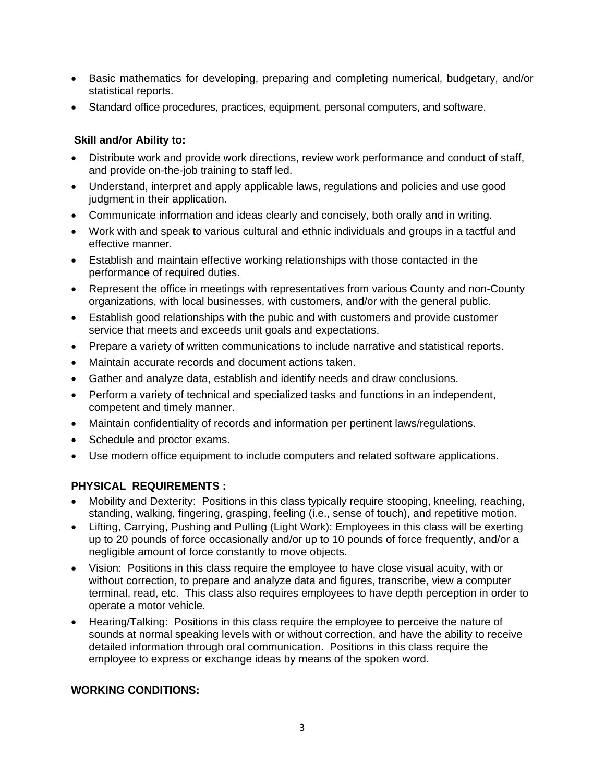- Basic mathematics for developing, preparing and completing numerical, budgetary, and/or statistical reports.
- Standard office procedures, practices, equipment, personal computers, and software.

## **Skill and/or Ability to:**

- Distribute work and provide work directions, review work performance and conduct of staff, and provide on-the-job training to staff led.
- Understand, interpret and apply applicable laws, regulations and policies and use good judgment in their application.
- Communicate information and ideas clearly and concisely, both orally and in writing.
- Work with and speak to various cultural and ethnic individuals and groups in a tactful and effective manner.
- Establish and maintain effective working relationships with those contacted in the performance of required duties.
- Represent the office in meetings with representatives from various County and non-County organizations, with local businesses, with customers, and/or with the general public.
- Establish good relationships with the pubic and with customers and provide customer service that meets and exceeds unit goals and expectations.
- Prepare a variety of written communications to include narrative and statistical reports.
- Maintain accurate records and document actions taken.
- Gather and analyze data, establish and identify needs and draw conclusions.
- Perform a variety of technical and specialized tasks and functions in an independent, competent and timely manner.
- Maintain confidentiality of records and information per pertinent laws/regulations.
- Schedule and proctor exams.
- Use modern office equipment to include computers and related software applications.

# **PHYSICAL REQUIREMENTS :**

- Mobility and Dexterity: Positions in this class typically require stooping, kneeling, reaching, standing, walking, fingering, grasping, feeling (i.e., sense of touch), and repetitive motion.
- Lifting, Carrying, Pushing and Pulling (Light Work): Employees in this class will be exerting up to 20 pounds of force occasionally and/or up to 10 pounds of force frequently, and/or a negligible amount of force constantly to move objects.
- Vision: Positions in this class require the employee to have close visual acuity, with or without correction, to prepare and analyze data and figures, transcribe, view a computer terminal, read, etc. This class also requires employees to have depth perception in order to operate a motor vehicle.
- Hearing/Talking: Positions in this class require the employee to perceive the nature of sounds at normal speaking levels with or without correction, and have the ability to receive detailed information through oral communication. Positions in this class require the employee to express or exchange ideas by means of the spoken word.

#### **WORKING CONDITIONS:**